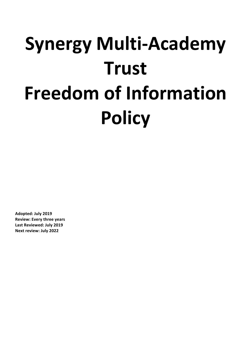# **Synergy Multi-Academy Trust Freedom of Information Policy**

**Adopted: July 2019 Review: Every three years Last Reviewed: July 2019 Next review: July 2022**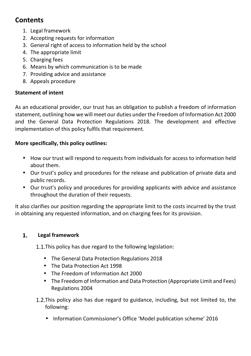## **Contents**

- 1. Legal framework
- 2. Accepting requests for information
- 3. General right of access to information held by the school
- 4. The appropriate limit
- 5. Charging fees
- 6. Means by which communication is to be made
- 7. Providing advice and assistance
- 8. Appeals procedure

## **Statement of intent**

As an educational provider, our trust has an obligation to publish a freedom of information statement, outlining how we will meet our duties under the Freedom of Information Act 2000 and the General Data Protection Regulations 2018. The development and effective implementation of this policy fulfils that requirement.

## **More specifically, this policy outlines:**

- How our trust will respond to requests from individuals for access to information held about them.
- Our trust's policy and procedures for the release and publication of private data and public records.
- Our trust's policy and procedures for providing applicants with advice and assistance throughout the duration of their requests.

It also clarifies our position regarding the appropriate limit to the costs incurred by the trust in obtaining any requested information, and on charging fees for its provision.

#### $1.$ **Legal framework**

1.1. This policy has due regard to the following legislation:

- The General Data Protection Regulations 2018
- The Data Protection Act 1998
- The Freedom of Information Act 2000
- The Freedom of Information and Data Protection (Appropriate Limit and Fees) Regulations 2004
- 1.2. This policy also has due regard to guidance, including, but not limited to, the following:
	- Information Commissioner's Office 'Model publication scheme' 2016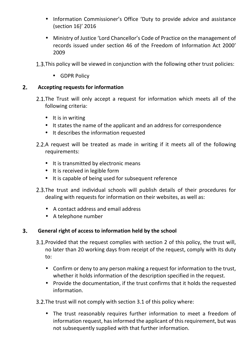- Information Commissioner's Office 'Duty to provide advice and assistance (section 16)' 2016
- Ministry of Justice 'Lord Chancellor's Code of Practice on the management of records issued under section 46 of the Freedom of Information Act 2000' 2009
- 1.3. This policy will be viewed in conjunction with the following other trust policies:
	- GDPR Policy

#### $2.$ **Accepting requests for information**

- 2.1. The Trust will only accept a request for information which meets all of the following criteria:
	- $\bullet$  It is in writing
	- It states the name of the applicant and an address for correspondence
	- It describes the information requested
- 2.2.A request will be treated as made in writing if it meets all of the following requirements:
	- It is transmitted by electronic means
	- It is received in legible form
	- It is capable of being used for subsequent reference
- 2.3. The trust and individual schools will publish details of their procedures for dealing with requests for information on their websites, as well as:
	- A contact address and email address
	- A telephone number

#### $3.$ **General right of access to information held by the school**

- 3.1. Provided that the request complies with section 2 of this policy, the trust will, no later than 20 working days from receipt of the request, comply with its duty to:
	- Confirm or deny to any person making a request for information to the trust, whether it holds information of the description specified in the request.
	- Provide the documentation, if the trust confirms that it holds the requested information.
- 3.2. The trust will not comply with section 3.1 of this policy where:
	- The trust reasonably requires further information to meet a freedom of information request, has informed the applicant of this requirement, but was not subsequently supplied with that further information.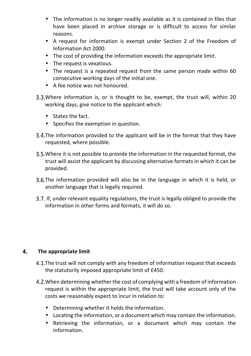- The information is no longer readily available as it is contained in files that have been placed in archive storage or is difficult to access for similar reasons.
- A request for information is exempt under Section 2 of the Freedom of Information Act 2000.
- The cost of providing the information exceeds the appropriate limit.
- The request is vexatious.
- The request is a repeated request from the same person made within 60 consecutive working days of the initial one.
- A fee notice was not honoured.
- 3.3. Where information is, or is thought to be, exempt, the trust will, within 20 working days, give notice to the applicant which:
	- States the fact.
	- Specifies the exemption in question.
- 3.4. The information provided to the applicant will be in the format that they have requested, where possible.
- 3.5. Where it is not possible to provide the information in the requested format, the trust will assist the applicant by discussing alternative formats in which it can be provided.
- 3.6. The information provided will also be in the language in which it is held, or another language that is legally required.
- 3.7. If, under relevant equality regulations, the trust is legally obliged to provide the information in other forms and formats, it will do so.

#### 4. **The appropriate limit**

- 4.1. The trust will not comply with any freedom of information request that exceeds the statutorily imposed appropriate limit of £450.
- 4.2. When determining whether the cost of complying with a freedom of information request is within the appropriate limit, the trust will take account only of the costs we reasonably expect to incur in relation to:
	- Determining whether it holds the information.
	- Locating the information, or a document which may contain the information.
	- Retrieving the information, or a document which may contain the information.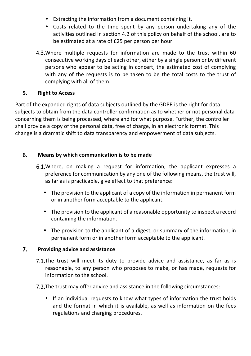- Extracting the information from a document containing it.
- Costs related to the time spent by any person undertaking any of the activities outlined in section 4.2 of this policy on behalf of the school, are to be estimated at a rate of £25 per person per hour.
- 4.3. Where multiple requests for information are made to the trust within 60 consecutive working days of each other, either by a single person or by different persons who appear to be acting in concert, the estimated cost of complying with any of the requests is to be taken to be the total costs to the trust of complying with all of them.

#### **Right to Access** 5.

Part of the expanded rights of data subjects outlined by the GDPR is the right for data subjects to obtain from the data controller confirmation as to whether or not personal data concerning them is being processed, where and for what purpose. Further, the controller shall provide a copy of the personal data, free of charge, in an electronic format. This change is a dramatic shift to data transparency and empowerment of data subjects.

#### 6. **Means by which communication is to be made**

- 6.1. Where, on making a request for information, the applicant expresses a preference for communication by any one of the following means, the trust will, as far as is practicable, give effect to that preference:
	- The provision to the applicant of a copy of the information in permanent form or in another form acceptable to the applicant.
	- The provision to the applicant of a reasonable opportunity to inspect a record containing the information.
	- The provision to the applicant of a digest, or summary of the information, in permanent form or in another form acceptable to the applicant.

#### $\overline{7}$ . **Providing advice and assistance**

- 7.1. The trust will meet its duty to provide advice and assistance, as far as is reasonable, to any person who proposes to make, or has made, requests for information to the school.
- 7.2. The trust may offer advice and assistance in the following circumstances:
	- If an individual requests to know what types of information the trust holds and the format in which it is available, as well as information on the fees regulations and charging procedures.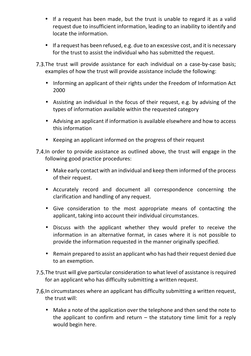- If a request has been made, but the trust is unable to regard it as a valid request due to insufficient information, leading to an inability to identify and locate the information.
- If a request has been refused, e.g. due to an excessive cost, and it is necessary for the trust to assist the individual who has submitted the request.
- 7.3. The trust will provide assistance for each individual on a case-by-case basis; examples of how the trust will provide assistance include the following:
	- Informing an applicant of their rights under the Freedom of Information Act 2000
	- Assisting an individual in the focus of their request, e.g. by advising of the types of information available within the requested category
	- Advising an applicant if information is available elsewhere and how to access this information
	- Keeping an applicant informed on the progress of their request
- 7.4. In order to provide assistance as outlined above, the trust will engage in the following good practice procedures:
	- Make early contact with an individual and keep them informed of the process of their request.
	- Accurately record and document all correspondence concerning the clarification and handling of any request.
	- Give consideration to the most appropriate means of contacting the applicant, taking into account their individual circumstances.
	- Discuss with the applicant whether they would prefer to receive the information in an alternative format, in cases where it is not possible to provide the information requested in the manner originally specified.
	- Remain prepared to assist an applicant who has had their request denied due to an exemption.
- 7.5. The trust will give particular consideration to what level of assistance is required for an applicant who has difficulty submitting a written request.
- 7.6. In circumstances where an applicant has difficulty submitting a written request, the trust will:
	- Make a note of the application over the telephone and then send the note to the applicant to confirm and return  $-$  the statutory time limit for a reply would begin here.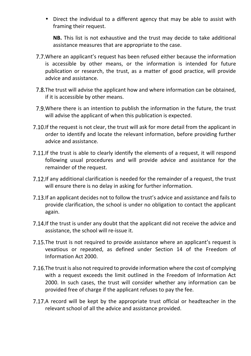• Direct the individual to a different agency that may be able to assist with framing their request.

**NB.** This list is not exhaustive and the trust may decide to take additional assistance measures that are appropriate to the case.

- 7.7. Where an applicant's request has been refused either because the information is accessible by other means, or the information is intended for future publication or research, the trust, as a matter of good practice, will provide advice and assistance.
- 7.8. The trust will advise the applicant how and where information can be obtained, if it is accessible by other means.
- 7.9. Where there is an intention to publish the information in the future, the trust will advise the applicant of when this publication is expected.
- 7.10. If the request is not clear, the trust will ask for more detail from the applicant in order to identify and locate the relevant information, before providing further advice and assistance.
- 7.11. If the trust is able to clearly identify the elements of a request, it will respond following usual procedures and will provide advice and assistance for the remainder of the request.
- 7.12. If any additional clarification is needed for the remainder of a request, the trust will ensure there is no delay in asking for further information.
- 7.13. If an applicant decides not to follow the trust's advice and assistance and fails to provide clarification, the school is under no obligation to contact the applicant again.
- 7.14. If the trust is under any doubt that the applicant did not receive the advice and assistance, the school will re-issue it.
- 7.15. The trust is not required to provide assistance where an applicant's request is vexatious or repeated, as defined under Section 14 of the Freedom of Information Act 2000.
- 7.16. The trust is also not required to provide information where the cost of complying with a request exceeds the limit outlined in the Freedom of Information Act 2000. In such cases, the trust will consider whether any information can be provided free of charge if the applicant refuses to pay the fee.
- 7.17.A record will be kept by the appropriate trust official or headteacher in the relevant school of all the advice and assistance provided.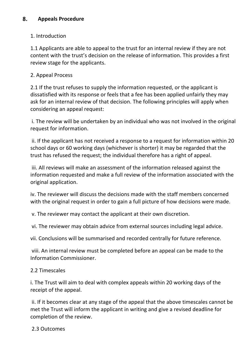## 1. Introduction

1.1 Applicants are able to appeal to the trust for an internal review if they are not content with the trust's decision on the release of information. This provides a first review stage for the applicants.

## 2. Appeal Process

2.1 If the trust refuses to supply the information requested, or the applicant is dissatisfied with its response or feels that a fee has been applied unfairly they may ask for an internal review of that decision. The following principles will apply when considering an appeal request:

i. The review will be undertaken by an individual who was not involved in the original request for information.

ii. If the applicant has not received a response to a request for information within 20 school days or 60 working days (whichever is shorter) it may be regarded that the trust has refused the request; the individual therefore has a right of appeal.

iii. All reviews will make an assessment of the information released against the information requested and make a full review of the information associated with the original application. 

iv. The reviewer will discuss the decisions made with the staff members concerned with the original request in order to gain a full picture of how decisions were made.

v. The reviewer may contact the applicant at their own discretion.

vi. The reviewer may obtain advice from external sources including legal advice.

vii. Conclusions will be summarised and recorded centrally for future reference.

viii. An internal review must be completed before an appeal can be made to the Information Commissioner. 

## 2.2 Timescales

i. The Trust will aim to deal with complex appeals within 20 working days of the receipt of the appeal.

ii. If it becomes clear at any stage of the appeal that the above timescales cannot be met the Trust will inform the applicant in writing and give a revised deadline for completion of the review.

## 2.3 Outcomes